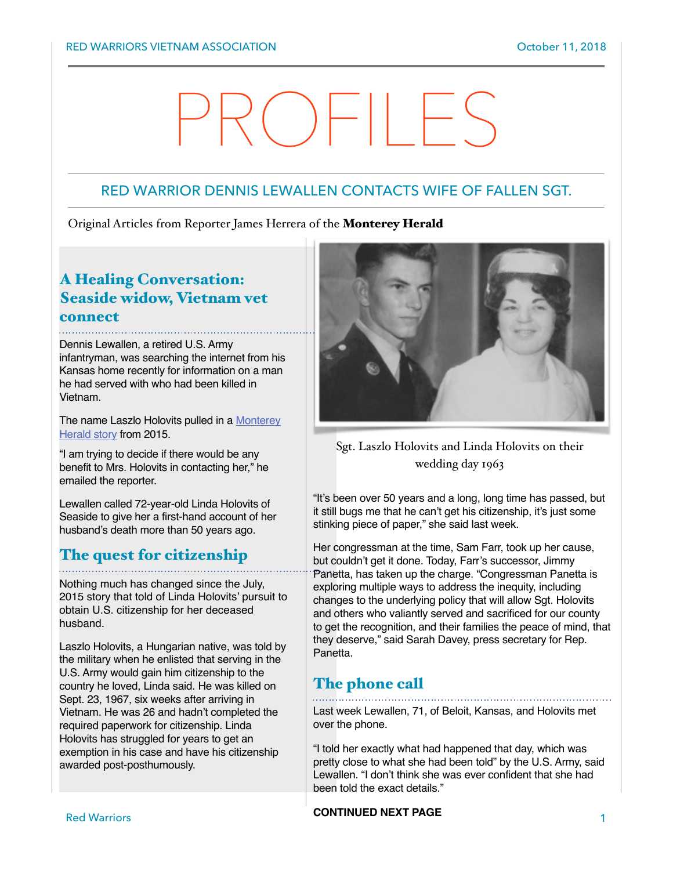# PROFILES

# RED WARRIOR DENNIS LEWALLEN CONTACTS WIFE OF FALLEN SGT.

Original Articles from Reporter James Herrera of the Monterey Herald

# A Healing Conversation: Seaside widow, Vietnam vet connect

Dennis Lewallen, a retired U.S. Army infantryman, was searching the internet from his Kansas home recently for information on a man he had served with who had been killed in Vietnam.

[The name Laszlo Holovits pulled in a](http://www.montereyherald.com/government-and-politics/20150710/vietnam-veterans-widow-hopes-to-fulfill-non-citizen-husbands-wish) Monterey Herald story from 2015.

"I am trying to decide if there would be any benefit to Mrs. Holovits in contacting her," he emailed the reporter.

Lewallen called 72-year-old Linda Holovits of Seaside to give her a first-hand account of her husband's death more than 50 years ago.

# The quest for citizenship

Nothing much has changed since the July, 2015 story that told of Linda Holovits' pursuit to obtain U.S. citizenship for her deceased husband.

Laszlo Holovits, a Hungarian native, was told by the military when he enlisted that serving in the U.S. Army would gain him citizenship to the country he loved, Linda said. He was killed on Sept. 23, 1967, six weeks after arriving in Vietnam. He was 26 and hadn't completed the required paperwork for citizenship. Linda Holovits has struggled for years to get an exemption in his case and have his citizenship awarded post-posthumously.



Sgt. Laszlo Holovits and Linda Holovits on their wedding day 1963

"It's been over 50 years and a long, long time has passed, but it still bugs me that he can't get his citizenship, it's just some stinking piece of paper," she said last week.

Her congressman at the time, Sam Farr, took up her cause, but couldn't get it done. Today, Farr's successor, Jimmy Panetta, has taken up the charge. "Congressman Panetta is exploring multiple ways to address the inequity, including changes to the underlying policy that will allow Sgt. Holovits and others who valiantly served and sacrificed for our county to get the recognition, and their families the peace of mind, that they deserve," said Sarah Davey, press secretary for Rep. Panetta.

# The phone call

Last week Lewallen, 71, of Beloit, Kansas, and Holovits met over the phone.

"I told her exactly what had happened that day, which was pretty close to what she had been told" by the U.S. Army, said Lewallen. "I don't think she was ever confident that she had been told the exact details."

### Red Warriors 1 **CONTINUED NEXT PAGE**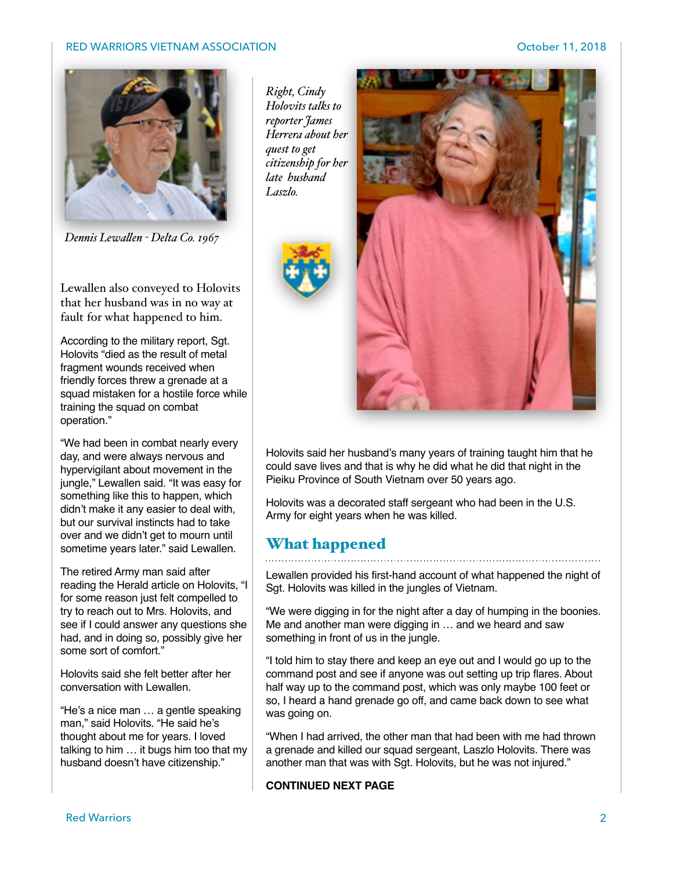## RED WARRIORS VIETNAM ASSOCIATION NEWSLEY AND RED WARRIORS VIETNAM ASSOCIATION



*Dennis Lewalen - Delta Co. 1967*

Lewallen also conveyed to Holovits that her husband was in no way at fault for what happened to him.

According to the military report, Sgt. Holovits "died as the result of metal fragment wounds received when friendly forces threw a grenade at a squad mistaken for a hostile force while training the squad on combat operation."

"We had been in combat nearly every day, and were always nervous and hypervigilant about movement in the jungle," Lewallen said. "It was easy for something like this to happen, which didn't make it any easier to deal with, but our survival instincts had to take over and we didn't get to mourn until sometime years later." said Lewallen.

The retired Army man said after reading the Herald article on Holovits, "I for some reason just felt compelled to try to reach out to Mrs. Holovits, and see if I could answer any questions she had, and in doing so, possibly give her some sort of comfort."

Holovits said she felt better after her conversation with Lewallen.

"He's a nice man … a gentle speaking man," said Holovits. "He said he's thought about me for years. I loved talking to him … it bugs him too that my husband doesn't have citizenship."

*Right, Cindy Holovits talks to reporter James Herrera about her quest to get citizenship for her late husband Laszlo.*





Holovits said her husband's many years of training taught him that he could save lives and that is why he did what he did that night in the Pieiku Province of South Vietnam over 50 years ago.

Holovits was a decorated staff sergeant who had been in the U.S. Army for eight years when he was killed.

## What happened

Lewallen provided his first-hand account of what happened the night of Sgt. Holovits was killed in the jungles of Vietnam.

"We were digging in for the night after a day of humping in the boonies. Me and another man were digging in … and we heard and saw something in front of us in the jungle.

"I told him to stay there and keep an eye out and I would go up to the command post and see if anyone was out setting up trip flares. About half way up to the command post, which was only maybe 100 feet or so, I heard a hand grenade go off, and came back down to see what was going on.

"When I had arrived, the other man that had been with me had thrown a grenade and killed our squad sergeant, Laszlo Holovits. There was another man that was with Sgt. Holovits, but he was not injured."

## **CONTINUED NEXT PAGE**